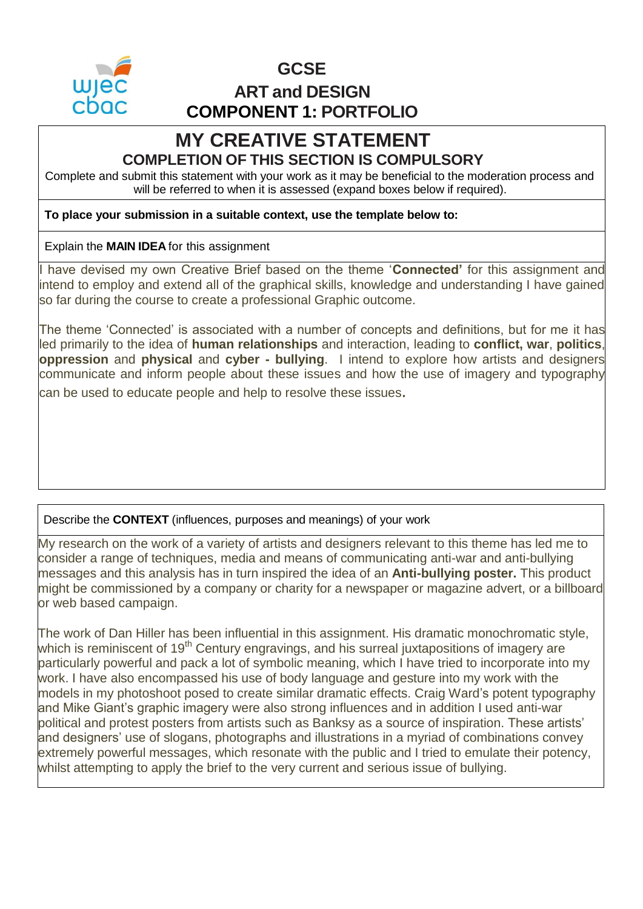

# **GCSE ART and DESIGN COMPONENT 1: PORTFOLIO**

# **MY CREATIVE STATEMENT COMPLETION OF THIS SECTION IS COMPULSORY**

Complete and submit this statement with your work as it may be beneficial to the moderation process and will be referred to when it is assessed (expand boxes below if required).

#### **To place your submission in a suitable context, use the template below to:**

### Explain the **MAIN IDEA** for this assignment

I have devised my own Creative Brief based on the theme '**Connected'** for this assignment and intend to employ and extend all of the graphical skills, knowledge and understanding I have gained so far during the course to create a professional Graphic outcome.

The theme 'Connected' is associated with a number of concepts and definitions, but for me it has led primarily to the idea of **human relationships** and interaction, leading to **conflict, war**, **politics**, **oppression** and **physical** and **cyber - bullying**. I intend to explore how artists and designers communicate and inform people about these issues and how the use of imagery and typography can be used to educate people and help to resolve these issues.

## Describe the **CONTEXT** (influences, purposes and meanings) of your work

My research on the work of a variety of artists and designers relevant to this theme has led me to consider a range of techniques, media and means of communicating anti-war and anti-bullying messages and this analysis has in turn inspired the idea of an **Anti-bullying poster.** This product might be commissioned by a company or charity for a newspaper or magazine advert, or a billboard or web based campaign.

The work of Dan Hiller has been influential in this assignment. His dramatic monochromatic style, which is reminiscent of 19<sup>th</sup> Century engravings, and his surreal juxtapositions of imagery are particularly powerful and pack a lot of symbolic meaning, which I have tried to incorporate into my work. I have also encompassed his use of body language and gesture into my work with the models in my photoshoot posed to create similar dramatic effects. Craig Ward's potent typography and Mike Giant's graphic imagery were also strong influences and in addition I used anti-war political and protest posters from artists such as Banksy as a source of inspiration. These artists' and designers' use of slogans, photographs and illustrations in a myriad of combinations convey extremely powerful messages, which resonate with the public and I tried to emulate their potency, whilst attempting to apply the brief to the very current and serious issue of bullying.